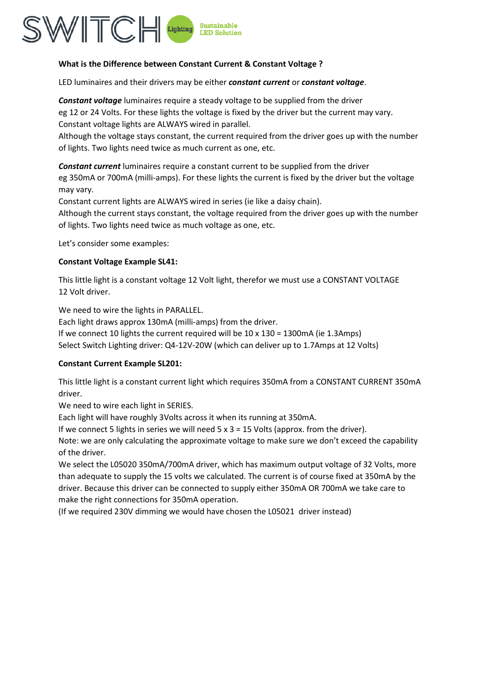

# **What is the Difference between Constant Current & Constant Voltage ?**

LED luminaires and their drivers may be either *constant current* or *constant voltage*.

*Constant voltage* luminaires require a steady voltage to be supplied from the driver eg 12 or 24 Volts. For these lights the voltage is fixed by the driver but the current may vary. Constant voltage lights are ALWAYS wired in parallel.

Although the voltage stays constant, the current required from the driver goes up with the number of lights. Two lights need twice as much current as one, etc.

*Constant current* luminaires require a constant current to be supplied from the driver eg 350mA or 700mA (milli-amps). For these lights the current is fixed by the driver but the voltage may vary.

Constant current lights are ALWAYS wired in series (ie like a daisy chain).

Although the current stays constant, the voltage required from the driver goes up with the number of lights. Two lights need twice as much voltage as one, etc.

Let's consider some examples:

# **Constant Voltage Example SL41:**

This little light is a constant voltage 12 Volt light, therefor we must use a CONSTANT VOLTAGE 12 Volt driver.

We need to wire the lights in PARALLEL.

Each light draws approx 130mA (milli-amps) from the driver. If we connect 10 lights the current required will be 10 x 130 = 1300mA (ie 1.3Amps) Select Switch Lighting driver: Q4-12V-20W (which can deliver up to 1.7Amps at 12 Volts)

# **Constant Current Example SL201:**

This little light is a constant current light which requires 350mA from a CONSTANT CURRENT 350mA driver.

We need to wire each light in SERIES.

Each light will have roughly 3Volts across it when its running at 350mA.

If we connect 5 lights in series we will need  $5 \times 3 = 15$  Volts (approx. from the driver).

Note: we are only calculating the approximate voltage to make sure we don't exceed the capability of the driver.

We select the L05020 350mA/700mA driver, which has maximum output voltage of 32 Volts, more than adequate to supply the 15 volts we calculated. The current is of course fixed at 350mA by the driver. Because this driver can be connected to supply either 350mA OR 700mA we take care to make the right connections for 350mA operation.

(If we required 230V dimming we would have chosen the L05021 driver instead)